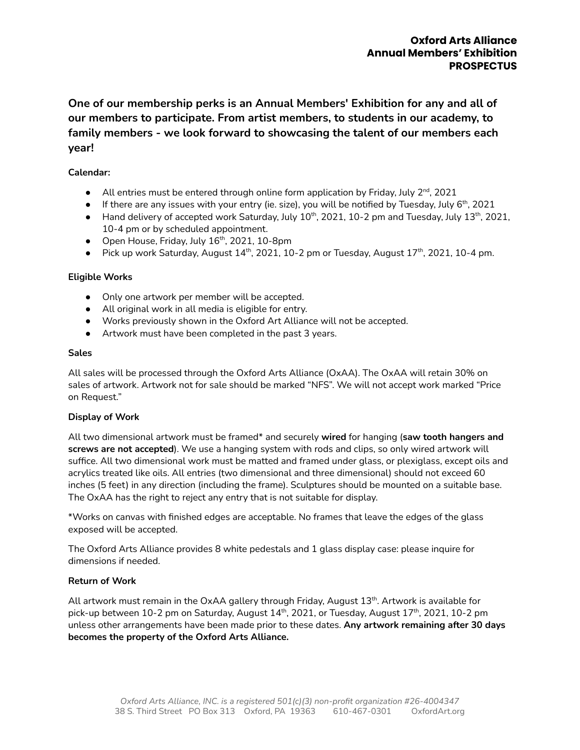**One of our membership perks is an Annual Members' Exhibition for any and all of our members to participate. From artist members, to students in our academy, to family members - we look forward to showcasing the talent of our members each year!**

# **Calendar:**

- $\bullet$  All entries must be entered through online form application by Friday, July 2<sup>nd</sup>, 2021
- $\bullet$  If there are any issues with your entry (ie. size), you will be notified by Tuesday, July 6<sup>th</sup>, 2021
- $\bullet$  Hand delivery of accepted work Saturday, July  $10^{th}$ , 2021, 10-2 pm and Tuesday, July 13<sup>th</sup>, 2021, 10-4 pm or by scheduled appointment.
- Open House, Friday, July 16<sup>th</sup>, 2021, 10-8pm
- $\bullet$  Pick up work Saturday, August 14<sup>th</sup>, 2021, 10-2 pm or Tuesday, August 17<sup>th</sup>, 2021, 10-4 pm.

### **Eligible Works**

- Only one artwork per member will be accepted.
- All original work in all media is eligible for entry.
- Works previously shown in the Oxford Art Alliance will not be accepted.
- Artwork must have been completed in the past 3 years.

#### **Sales**

All sales will be processed through the Oxford Arts Alliance (OxAA). The OxAA will retain 30% on sales of artwork. Artwork not for sale should be marked "NFS". We will not accept work marked "Price on Request."

### **Display of Work**

All two dimensional artwork must be framed\* and securely **wired** for hanging (**saw tooth hangers and screws are not accepted**). We use a hanging system with rods and clips, so only wired artwork will suffice. All two dimensional work must be matted and framed under glass, or plexiglass, except oils and acrylics treated like oils. All entries (two dimensional and three dimensional) should not exceed 60 inches (5 feet) in any direction (including the frame). Sculptures should be mounted on a suitable base. The OxAA has the right to reject any entry that is not suitable for display.

\*Works on canvas with finished edges are acceptable. No frames that leave the edges of the glass exposed will be accepted.

The Oxford Arts Alliance provides 8 white pedestals and 1 glass display case: please inquire for dimensions if needed.

### **Return of Work**

All artwork must remain in the OxAA gallery through Friday, August 13<sup>th</sup>. Artwork is available for pick-up between 10-2 pm on Saturday, August 14<sup>th</sup>, 2021, or Tuesday, August 17<sup>th</sup>, 2021, 10-2 pm unless other arrangements have been made prior to these dates. **Any artwork remaining after 30 days becomes the property of the Oxford Arts Alliance.**